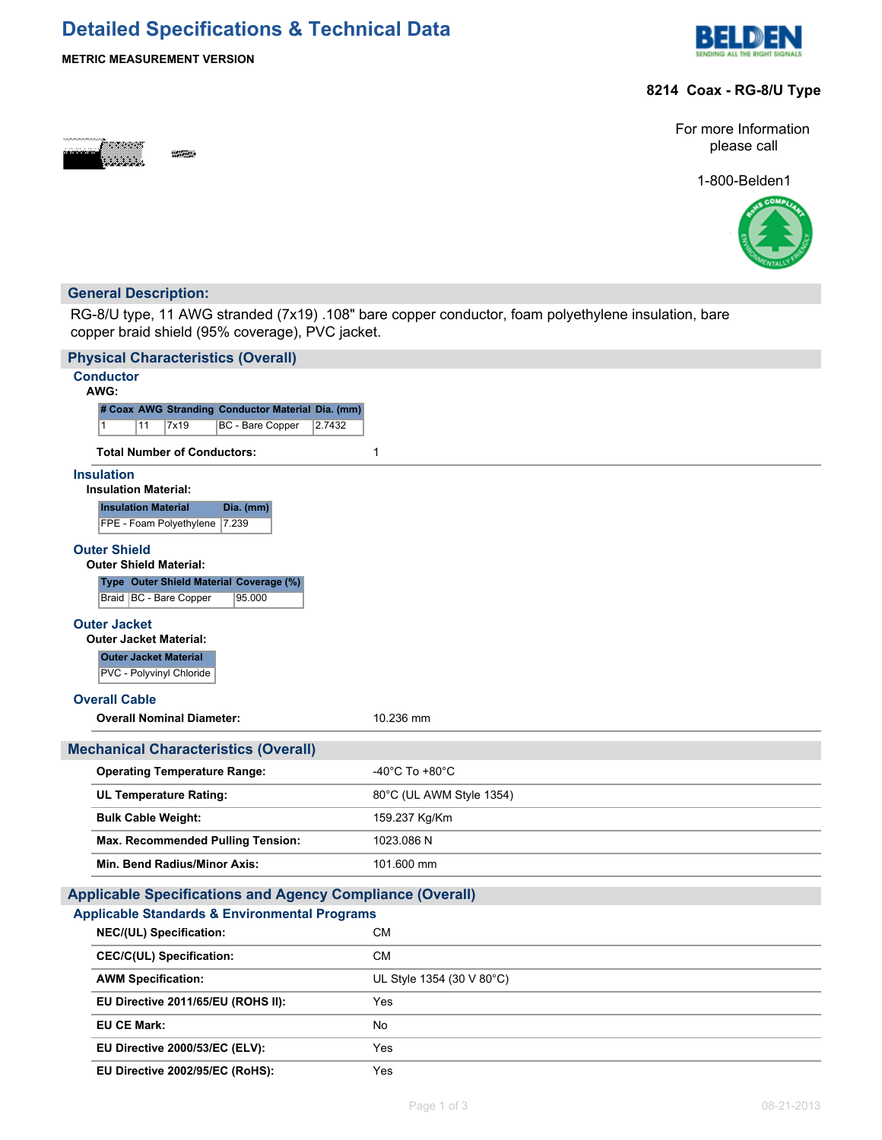# **Detailed Specifications & Technical Data**



### **METRIC MEASUREMENT VERSION**

## **8214 Coax - RG-8/U Type**



For more Information please call

1-800-Belden1



# **General Description:**

RG-8/U type, 11 AWG stranded (7x19) .108" bare copper conductor, foam polyethylene insulation, bare copper braid shield (95% coverage), PVC jacket.

| <b>Physical Characteristics (Overall)</b>                                |                                      |
|--------------------------------------------------------------------------|--------------------------------------|
| <b>Conductor</b><br>AWG:                                                 |                                      |
| # Coax AWG Stranding Conductor Material Dia. (mm)                        |                                      |
| 7x19<br>BC - Bare Copper<br>2.7432<br>1<br>11                            |                                      |
| <b>Total Number of Conductors:</b>                                       | 1                                    |
| <b>Insulation</b><br><b>Insulation Material:</b>                         |                                      |
| <b>Insulation Material</b><br>Dia. (mm)<br>FPE - Foam Polyethylene 7.239 |                                      |
| <b>Outer Shield</b>                                                      |                                      |
| <b>Outer Shield Material:</b>                                            |                                      |
| Type Outer Shield Material Coverage (%)                                  |                                      |
| 95.000<br>Braid   BC - Bare Copper                                       |                                      |
| <b>Outer Jacket</b><br><b>Outer Jacket Material:</b>                     |                                      |
| <b>Outer Jacket Material</b>                                             |                                      |
| PVC - Polyvinyl Chloride                                                 |                                      |
| <b>Overall Cable</b>                                                     |                                      |
| <b>Overall Nominal Diameter:</b>                                         | 10.236 mm                            |
| <b>Mechanical Characteristics (Overall)</b>                              |                                      |
| <b>Operating Temperature Range:</b>                                      | -40 $^{\circ}$ C To +80 $^{\circ}$ C |
| <b>UL Temperature Rating:</b>                                            | 80°C (UL AWM Style 1354)             |
| <b>Bulk Cable Weight:</b>                                                | 159.237 Kg/Km                        |
| <b>Max. Recommended Pulling Tension:</b>                                 | 1023.086 N                           |
| Min. Bend Radius/Minor Axis:                                             | 101.600 mm                           |
| <b>Applicable Specifications and Agency Compliance (Overall)</b>         |                                      |
| <b>Applicable Standards &amp; Environmental Programs</b>                 |                                      |
| NEC/(UL) Specification:                                                  | <b>CM</b>                            |
| <b>CEC/C(UL) Specification:</b>                                          | <b>CM</b>                            |
| <b>AWM Specification:</b>                                                | UL Style 1354 (30 V 80°C)            |
| EU Directive 2011/65/EU (ROHS II):                                       |                                      |
|                                                                          | Yes                                  |
| <b>EU CE Mark:</b>                                                       | No                                   |
| EU Directive 2000/53/EC (ELV):                                           | Yes                                  |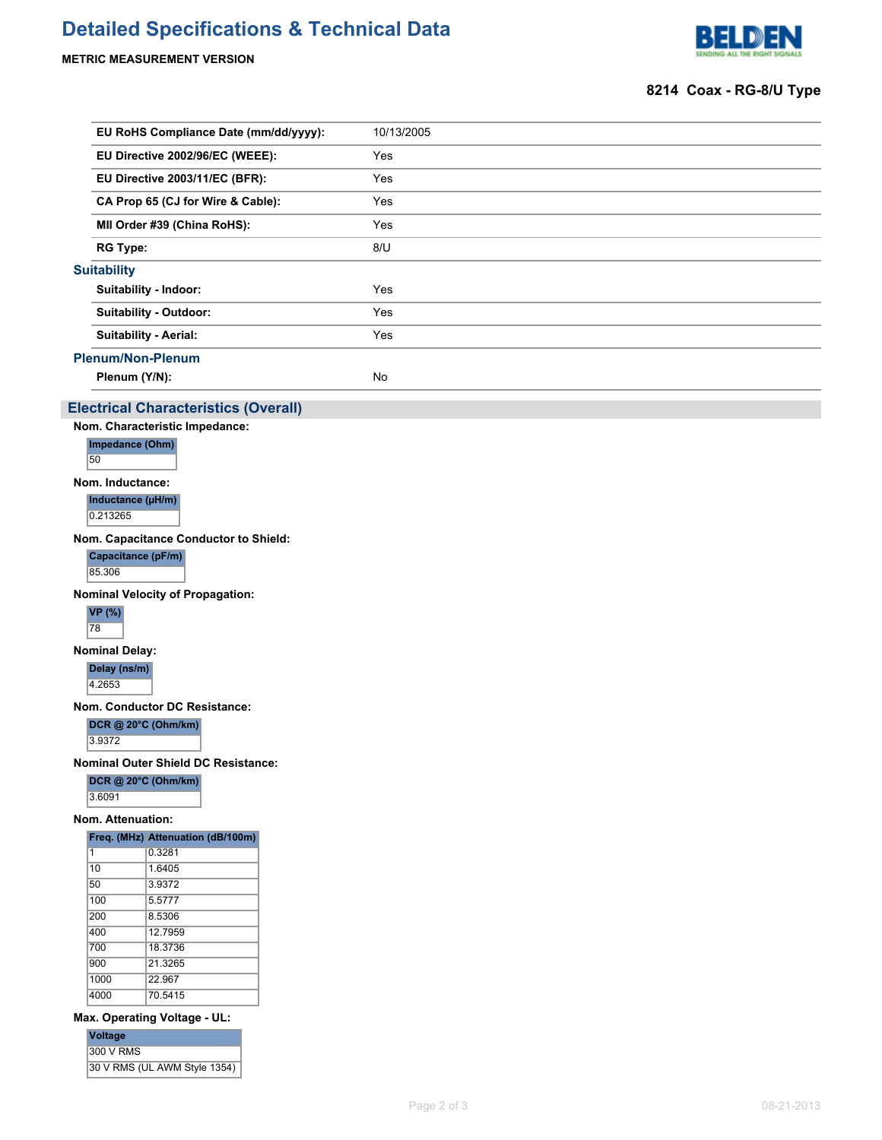# **Detailed Specifications & Technical Data**

**METRIC MEASUREMENT VERSION**



### **8214 Coax - RG-8/U Type**

| 10/13/2005                                                                                                                                                                                                                                                                                                                                                     |
|----------------------------------------------------------------------------------------------------------------------------------------------------------------------------------------------------------------------------------------------------------------------------------------------------------------------------------------------------------------|
| Yes                                                                                                                                                                                                                                                                                                                                                            |
| Yes                                                                                                                                                                                                                                                                                                                                                            |
| Yes                                                                                                                                                                                                                                                                                                                                                            |
| Yes                                                                                                                                                                                                                                                                                                                                                            |
| 8/U                                                                                                                                                                                                                                                                                                                                                            |
|                                                                                                                                                                                                                                                                                                                                                                |
| Yes                                                                                                                                                                                                                                                                                                                                                            |
| Yes                                                                                                                                                                                                                                                                                                                                                            |
| Yes                                                                                                                                                                                                                                                                                                                                                            |
|                                                                                                                                                                                                                                                                                                                                                                |
| No                                                                                                                                                                                                                                                                                                                                                             |
| EU RoHS Compliance Date (mm/dd/yyyy):<br>EU Directive 2002/96/EC (WEEE):<br>EU Directive 2003/11/EC (BFR):<br>CA Prop 65 (CJ for Wire & Cable):<br>MII Order #39 (China RoHS):<br><b>RG Type:</b><br><b>Suitability</b><br><b>Suitability - Indoor:</b><br>Suitability - Outdoor:<br><b>Suitability - Aerial:</b><br><b>Plenum/Non-Plenum</b><br>Plenum (Y/N): |

#### **Electrical Characteristics (Overall)**

**Nom. Characteristic Impedance:**



**Nom. Inductance:**

**Inductance (µH/m)** 0.213265

**Nom. Capacitance Conductor to Shield:**

**Capacitance (pF/m)** 85.306

**Nominal Velocity of Propagation:**



**Nominal Delay:**

**Delay (ns/m)** 4.2653

**Nom. Conductor DC Resistance:**

**DCR @ 20°C (Ohm/km)**

3.9372

**Nominal Outer Shield DC Resistance:**

**DCR @ 20°C (Ohm/km)** 3.6091

#### **Nom. Attenuation:**

|      | Freg. (MHz) Attenuation (dB/100m) |
|------|-----------------------------------|
| 1    | 0.3281                            |
| 10   | 1.6405                            |
| 50   | 3.9372                            |
| 100  | 5.5777                            |
| 200  | 8.5306                            |
| 400  | 12 7959                           |
| 700  | 18.3736                           |
| 900  | 21.3265                           |
| 1000 | 22.967                            |
| 4000 | 70.5415                           |

#### **Max. Operating Voltage - UL:**

| <b>Voltage</b>               |  |
|------------------------------|--|
| 300 V RMS                    |  |
| 30 V RMS (UL AWM Style 1354) |  |